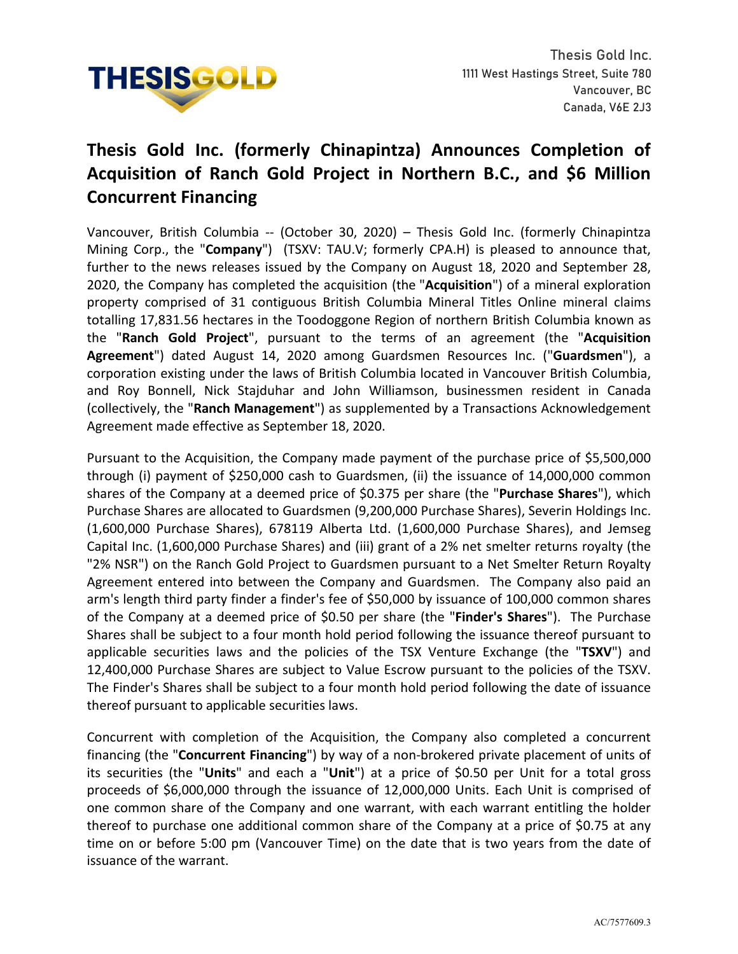

## **Thesis Gold Inc. (formerly Chinapintza) Announces Completion of Acquisition of Ranch Gold Project in Northern B.C., and \$6 Million Concurrent Financing**

Vancouver, British Columbia -- (October 30, 2020) – Thesis Gold Inc. (formerly Chinapintza Mining Corp., the "**Company**") (TSXV: TAU.V; formerly CPA.H) is pleased to announce that, further to the news releases issued by the Company on August 18, 2020 and September 28, 2020, the Company has completed the acquisition (the "**Acquisition**") of a mineral exploration property comprised of 31 contiguous British Columbia Mineral Titles Online mineral claims totalling 17,831.56 hectares in the Toodoggone Region of northern British Columbia known as the "**Ranch Gold Project**", pursuant to the terms of an agreement (the "**Acquisition Agreement**") dated August 14, 2020 among Guardsmen Resources Inc. ("**Guardsmen**"), a corporation existing under the laws of British Columbia located in Vancouver British Columbia, and Roy Bonnell, Nick Stajduhar and John Williamson, businessmen resident in Canada (collectively, the "**Ranch Management**") as supplemented by a Transactions Acknowledgement Agreement made effective as September 18, 2020.

Pursuant to the Acquisition, the Company made payment of the purchase price of \$5,500,000 through (i) payment of \$250,000 cash to Guardsmen, (ii) the issuance of 14,000,000 common shares of the Company at a deemed price of \$0.375 per share (the "**Purchase Shares**"), which Purchase Shares are allocated to Guardsmen (9,200,000 Purchase Shares), Severin Holdings Inc. (1,600,000 Purchase Shares), 678119 Alberta Ltd. (1,600,000 Purchase Shares), and Jemseg Capital Inc. (1,600,000 Purchase Shares) and (iii) grant of a 2% net smelter returns royalty (the "2% NSR") on the Ranch Gold Project to Guardsmen pursuant to a Net Smelter Return Royalty Agreement entered into between the Company and Guardsmen. The Company also paid an arm's length third party finder a finder's fee of \$50,000 by issuance of 100,000 common shares of the Company at a deemed price of \$0.50 per share (the "**Finder's Shares**"). The Purchase Shares shall be subject to a four month hold period following the issuance thereof pursuant to applicable securities laws and the policies of the TSX Venture Exchange (the "**TSXV**") and 12,400,000 Purchase Shares are subject to Value Escrow pursuant to the policies of the TSXV. The Finder's Shares shall be subject to a four month hold period following the date of issuance thereof pursuant to applicable securities laws.

Concurrent with completion of the Acquisition, the Company also completed a concurrent financing (the "**Concurrent Financing**") by way of a non-brokered private placement of units of its securities (the "**Units**" and each a "**Unit**") at a price of \$0.50 per Unit for a total gross proceeds of \$6,000,000 through the issuance of 12,000,000 Units. Each Unit is comprised of one common share of the Company and one warrant, with each warrant entitling the holder thereof to purchase one additional common share of the Company at a price of \$0.75 at any time on or before 5:00 pm (Vancouver Time) on the date that is two years from the date of issuance of the warrant.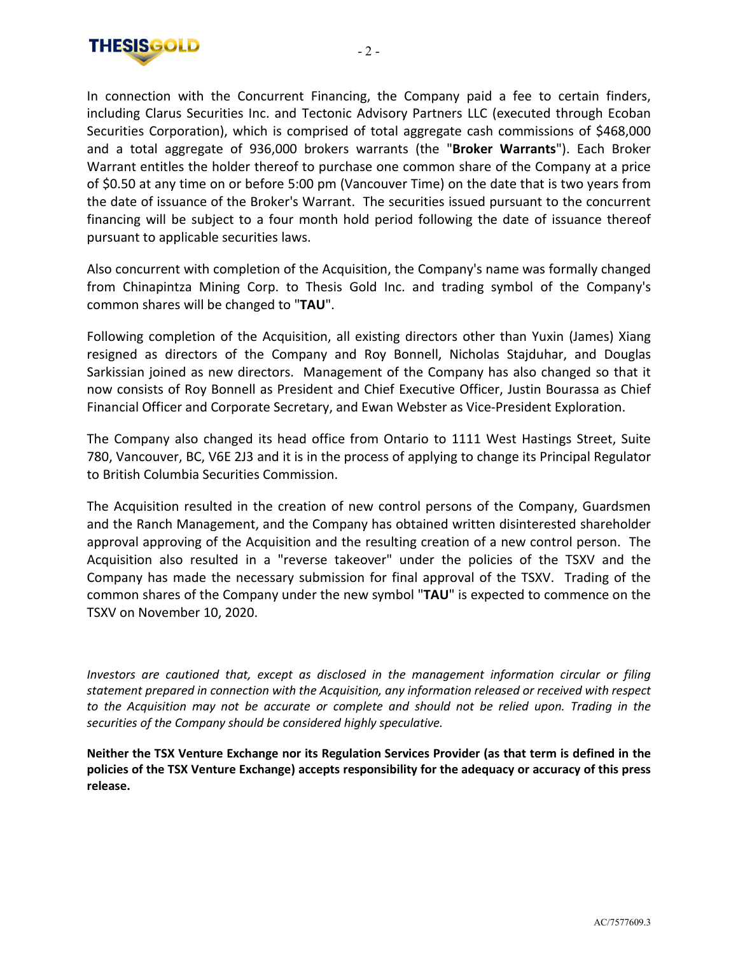

In connection with the Concurrent Financing, the Company paid a fee to certain finders, including Clarus Securities Inc. and Tectonic Advisory Partners LLC (executed through Ecoban Securities Corporation), which is comprised of total aggregate cash commissions of \$468,000 and a total aggregate of 936,000 brokers warrants (the "**Broker Warrants**"). Each Broker Warrant entitles the holder thereof to purchase one common share of the Company at a price of \$0.50 at any time on or before 5:00 pm (Vancouver Time) on the date that is two years from the date of issuance of the Broker's Warrant. The securities issued pursuant to the concurrent financing will be subject to a four month hold period following the date of issuance thereof pursuant to applicable securities laws.

Also concurrent with completion of the Acquisition, the Company's name was formally changed from Chinapintza Mining Corp. to Thesis Gold Inc. and trading symbol of the Company's common shares will be changed to "**TAU**".

Following completion of the Acquisition, all existing directors other than Yuxin (James) Xiang resigned as directors of the Company and Roy Bonnell, Nicholas Stajduhar, and Douglas Sarkissian joined as new directors. Management of the Company has also changed so that it now consists of Roy Bonnell as President and Chief Executive Officer, Justin Bourassa as Chief Financial Officer and Corporate Secretary, and Ewan Webster as Vice-President Exploration.

The Company also changed its head office from Ontario to 1111 West Hastings Street, Suite 780, Vancouver, BC, V6E 2J3 and it is in the process of applying to change its Principal Regulator to British Columbia Securities Commission.

The Acquisition resulted in the creation of new control persons of the Company, Guardsmen and the Ranch Management, and the Company has obtained written disinterested shareholder approval approving of the Acquisition and the resulting creation of a new control person. The Acquisition also resulted in a "reverse takeover" under the policies of the TSXV and the Company has made the necessary submission for final approval of the TSXV. Trading of the common shares of the Company under the new symbol "**TAU**" is expected to commence on the TSXV on November 10, 2020.

*Investors are cautioned that, except as disclosed in the management information circular or filing statement prepared in connection with the Acquisition, any information released or received with respect to the Acquisition may not be accurate or complete and should not be relied upon. Trading in the securities of the Company should be considered highly speculative.*

**Neither the TSX Venture Exchange nor its Regulation Services Provider (as that term is defined in the policies of the TSX Venture Exchange) accepts responsibility for the adequacy or accuracy of this press release.**